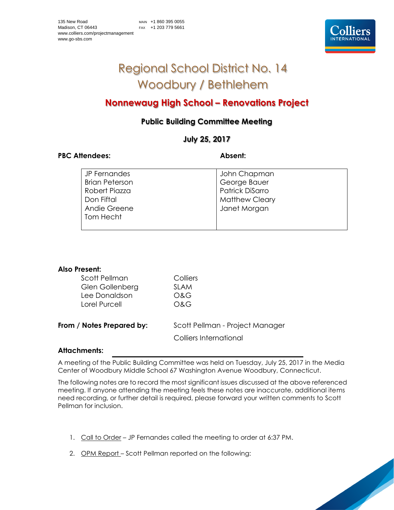

# Regional School District No. 14 Woodbury / Bethlehem

# **Nonnewaug High School – Renovations Project**

# **Public Building Committee Meeting**

# **July 25, 2017**

## PBC Attendees: Absent:

| JP Fernandes          | John Chapman           |
|-----------------------|------------------------|
| <b>Brian Peterson</b> | George Bauer           |
| Robert Piazza         | <b>Patrick DiSarro</b> |
| Don Fiftal            | <b>Matthew Cleary</b>  |
| Andie Greene          | Janet Morgan           |
| Tom Hecht             |                        |
|                       |                        |

| Also Present:             |                                 |
|---------------------------|---------------------------------|
| Scott Pellman             | Colliers                        |
| Glen Gollenberg           | SI AM                           |
| Lee Donaldson             | ೧&G                             |
| Lorel Purcell             | O&G                             |
| From / Notes Prepared by: | Scott Pellman - Project Manager |
|                           | Colliers International          |

## **Attachments:**

A meeting of the Public Building Committee was held on Tuesday, July 25, 2017 in the Media Center of Woodbury Middle School 67 Washington Avenue Woodbury, Connecticut.

The following notes are to record the most significant issues discussed at the above referenced meeting. If anyone attending the meeting feels these notes are inaccurate, additional items need recording, or further detail is required, please forward your written comments to Scott Pellman for inclusion.

- 1. Call to Order JP Fernandes called the meeting to order at 6:37 PM.
- 2. OPM Report Scott Pellman reported on the following: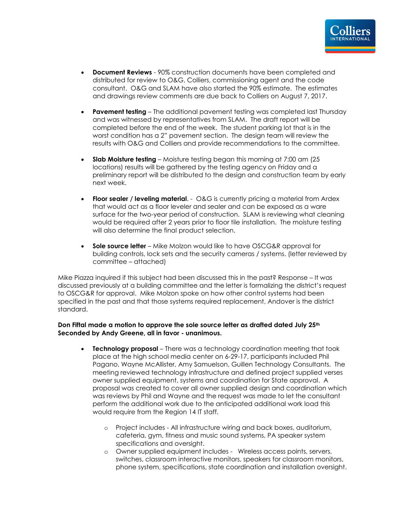- **Document Reviews** 90% construction documents have been completed and distributed for review to O&G, Colliers, commissioning agent and the code consultant. O&G and SLAM have also started the 90% estimate. The estimates and drawings review comments are due back to Colliers on August 7, 2017.
- **Pavement testing** The additional pavement testing was completed last Thursday and was witnessed by representatives from SLAM. The draft report will be completed before the end of the week. The student parking lot that is in the worst condition has a 2" pavement section. The design team will review the results with O&G and Colliers and provide recommendations to the committee.
- **Slab Moisture testing** Moisture testing began this morning at 7:00 am (25 locations) results will be gathered by the testing agency on Friday and a preliminary report will be distributed to the design and construction team by early next week.
- **Floor sealer / leveling material**. O&G is currently pricing a material from Ardex that would act as a floor leveler and sealer and can be exposed as a ware surface for the two-year period of construction. SLAM is reviewing what cleaning would be required after 2 years prior to floor tile installation. The moisture testing will also determine the final product selection.
- **Sole source letter** Mike Molzon would like to have OSCG&R approval for building controls, lock sets and the security cameras / systems. (letter reviewed by committee – attached)

Mike Piazza inquired if this subject had been discussed this in the past? Response – It was discussed previously at a building committee and the letter is formalizing the district's request to OSCG&R for approval. Mike Molzon spoke on how other control systems had been specified in the past and that those systems required replacement, Andover is the district standard.

### **Don Fiftal made a motion to approve the sole source letter as drafted dated July 25th Seconded by Andy Greene, all in favor - unanimous.**

- **Technology proposal** There was a technology coordination meeting that took place at the high school media center on 6-29-17, participants included Phil Pagano, Wayne McAllister, Amy Samuelson, Guillen Technology Consultants. The meeting reviewed technology infrastructure and defined project supplied verses owner supplied equipment, systems and coordination for State approval. A proposal was created to cover all owner supplied design and coordination which was reviews by Phil and Wayne and the request was made to let the consultant perform the additional work due to the anticipated additional work load this would require from the Region 14 IT staff.
	- o Project includes All infrastructure wiring and back boxes, auditorium, cafeteria, gym, fitness and music sound systems, PA speaker system specifications and oversight.
	- o Owner supplied equipment includes Wireless access points, servers, switches, classroom interactive monitors, speakers for classroom monitors, phone system, specifications, state coordination and installation oversight.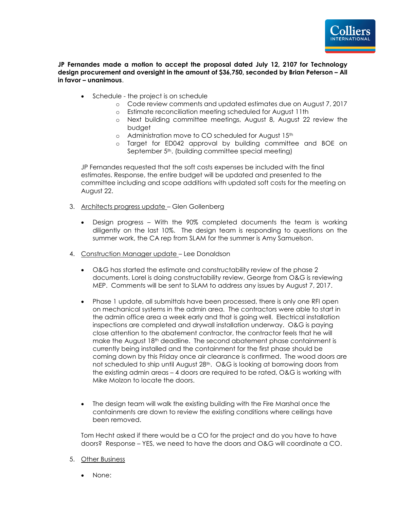

### **JP Fernandes made a motion to accept the proposal dated July 12, 2107 for Technology design procurement and oversight in the amount of \$36,750, seconded by Brian Peterson – All in favor – unanimous**.

- Schedule the project is on schedule
	- o Code review comments and updated estimates due on August 7, 2017
	- o Estimate reconciliation meeting scheduled for August 11th
	- o Next building committee meetings, August 8, August 22 review the budget
	- o Administration move to CO scheduled for August 15th
	- o Target for ED042 approval by building committee and BOE on September 5<sup>th</sup>. (building committee special meeting)

JP Fernandes requested that the soft costs expenses be included with the final estimates. Response, the entire budget will be updated and presented to the committee including and scope additions with updated soft costs for the meeting on August 22.

- 3. Architects progress update Glen Gollenberg
	- Design progress With the 90% completed documents the team is working diligently on the last 10%. The design team is responding to questions on the summer work, the CA rep from SLAM for the summer is Amy Samuelson.
- 4. Construction Manager update Lee Donaldson
	- O&G has started the estimate and constructability review of the phase 2 documents. Lorel is doing constructability review, George from O&G is reviewing MEP. Comments will be sent to SLAM to address any issues by August 7, 2017.
	- Phase 1 update, all submittals have been processed, there is only one RFI open on mechanical systems in the admin area. The contractors were able to start in the admin office area a week early and that is going well. Electrical installation inspections are completed and drywall installation underway. O&G is paying close attention to the abatement contractor, the contractor feels that he will make the August 18th deadline. The second abatement phase containment is currently being installed and the containment for the first phase should be coming down by this Friday once air clearance is confirmed. The wood doors are not scheduled to ship until August 28<sup>th</sup>. O&G is looking at borrowing doors from the existing admin areas – 4 doors are required to be rated, O&G is working with Mike Molzon to locate the doors.
	- The design team will walk the existing building with the Fire Marshal once the containments are down to review the existing conditions where ceilings have been removed.

Tom Hecht asked if there would be a CO for the project and do you have to have doors? Response – YES, we need to have the doors and O&G will coordinate a CO.

- 5. Other Business
	- None: